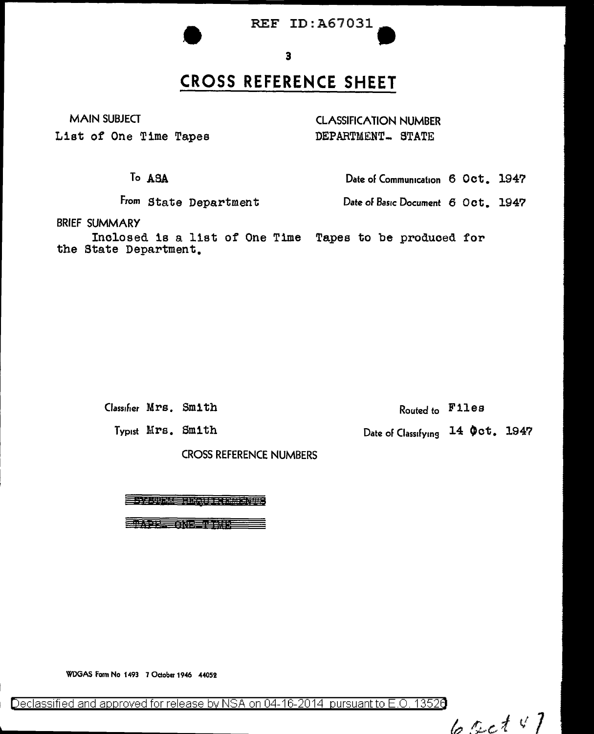**REF ID: A67031** 

 $\overline{\mathbf{3}}$ 

## **CROSS REFERENCE SHEET**

**MAIN SUBJECT** List of One Time Tapes

**CLASSIFICATION NUMBER** DEPARTMENT- STATE

To ASA

From State Department

Date of Communication 6 Oct. 1947

Date of Basic Document 6 Oct. 1947

**BRIEF SUMMARY** 

Inclosed is a list of One Time Tapes to be produced for the State Department.

Classifier Mrs. Smith

Typist Mrs. Smith

**CROSS REFERENCE NUMBERS** 

**EXPLAN THOUR MENTS** 

**ETAPPE ONE TIME** 

WDGAS Form No 1493 7 October 1946 44052

Declassified and approved for release by NSA on 04-16-2014 pursuant to E.O. 13526

 $65ct47$ 

Routed to Files

Date of Classifying 14 Oct. 1947